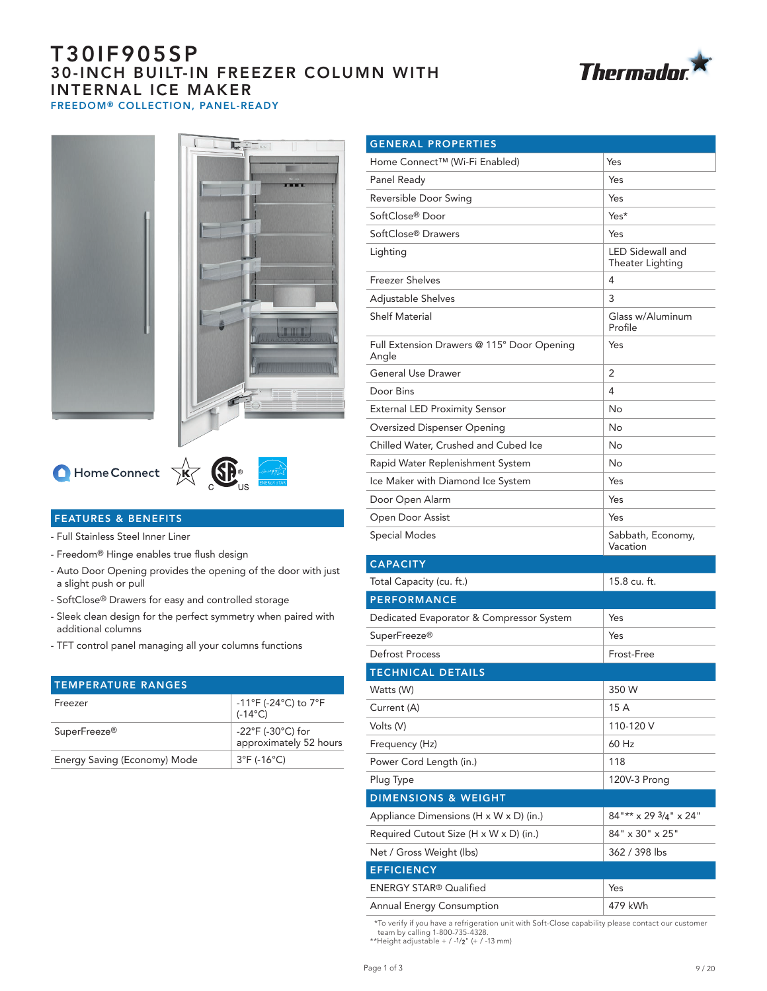# T30IF905SP 30-INCH BUILT-IN FREEZER COLUMN WITH INTERNAL ICE MAKER FREEDOM® COLLECTION, PANEL-READY







# $\bigcap$  Home Connect  $\overrightarrow{X}$   $\overrightarrow{B}$ <sub>US</sub>



- Full Stainless Steel Inner Liner
- Freedom® Hinge enables true flush design
- Auto Door Opening provides the opening of the door with just a slight push or pull
- SoftClose® Drawers for easy and controlled storage
- Sleek clean design for the perfect symmetry when paired with additional columns
- TFT control panel managing all your columns functions

| <b>TEMPERATURE RANGES</b>    |                                                                          |
|------------------------------|--------------------------------------------------------------------------|
| Freezer                      | $-11^{\circ}$ F (-24 $^{\circ}$ C) to 7 $^{\circ}$ F<br>$(-14^{\circ}C)$ |
| SuperFreeze <sup>®</sup>     | $-22^{\circ}$ F (-30 $^{\circ}$ C) for<br>approximately 52 hours         |
| Energy Saving (Economy) Mode | $3^{\circ}$ F (-16 $^{\circ}$ C)                                         |

| <b>GENERAL PROPERTIES</b>                           |                                      |  |
|-----------------------------------------------------|--------------------------------------|--|
| Home Connect™ (Wi-Fi Enabled)                       | Yes                                  |  |
| Panel Ready                                         | Yes                                  |  |
| Reversible Door Swing                               | Yes                                  |  |
| SoftClose® Door                                     | Yes*                                 |  |
| SoftClose® Drawers                                  | Yes                                  |  |
| Lighting                                            | LED Sidewall and<br>Theater Lighting |  |
| <b>Freezer Shelves</b>                              | 4                                    |  |
| Adjustable Shelves                                  | 3                                    |  |
| <b>Shelf Material</b>                               | Glass w/Aluminum<br>Profile          |  |
| Full Extension Drawers @ 115° Door Opening<br>Angle | Yes                                  |  |
| <b>General Use Drawer</b>                           | 2                                    |  |
| Door Bins                                           | 4                                    |  |
| <b>External LED Proximity Sensor</b>                | No                                   |  |
| Oversized Dispenser Opening                         | No                                   |  |
| Chilled Water, Crushed and Cubed Ice                | No                                   |  |
| Rapid Water Replenishment System                    | No                                   |  |
| Ice Maker with Diamond Ice System                   | Yes                                  |  |
| Door Open Alarm                                     | Yes                                  |  |
| Open Door Assist                                    | Yes                                  |  |
| Special Modes                                       | Sabbath, Economy,<br>Vacation        |  |
| <b>CAPACITY</b>                                     |                                      |  |
| Total Capacity (cu. ft.)                            | 15.8 cu. ft.                         |  |
| <b>PERFORMANCE</b>                                  |                                      |  |
| Dedicated Evaporator & Compressor System            | Yes                                  |  |
| SuperFreeze <sup>®</sup>                            | Yes                                  |  |
| Defrost Process                                     | Frost-Free                           |  |
| <b>TECHNICAL DETAILS</b>                            |                                      |  |
| Watts (W)                                           | 350 W                                |  |
| Current (A)                                         | 15 A                                 |  |
| Volts (V)                                           | 110-120 V                            |  |
| Frequency (Hz)                                      | 60 Hz                                |  |
| Power Cord Length (in.)                             | 118                                  |  |
| Plug Type                                           | 120V-3 Prong                         |  |
| <b>DIMENSIONS &amp; WEIGHT</b>                      |                                      |  |
| Appliance Dimensions $(H \times W \times D)$ (in.)  | $84"$ ** x 29 $3/4"$ x 24"           |  |
| Required Cutout Size (H x W x D) (in.)              | 84" x 30" x 25"                      |  |
| Net / Gross Weight (lbs)                            | 362 / 398 lbs                        |  |
| <b>EFFICIENCY</b>                                   |                                      |  |
| <b>ENERGY STAR® Qualified</b>                       | Yes                                  |  |
| <b>Annual Energy Consumption</b>                    | 479 kWh                              |  |

\*To verify if you have a refrigeration unit with Soft-Close capability please contact our customer team by calling 1-800-735-4328.

\*\*Height adjustable +  $/$  -1/2" (+  $/$  -13 mm)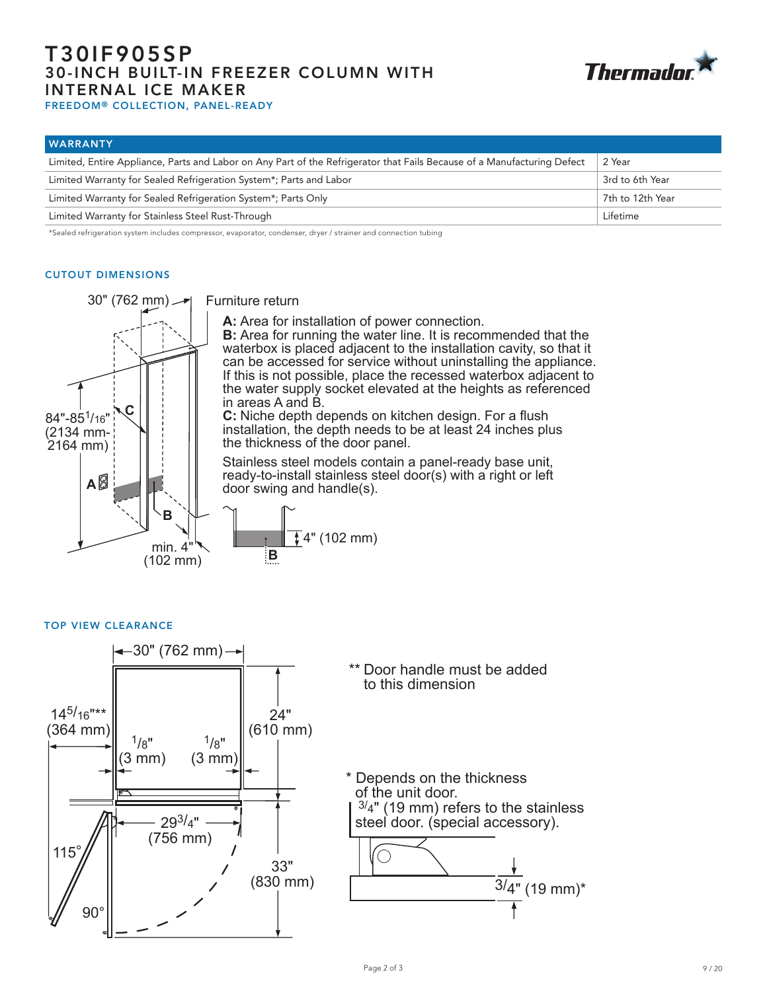# T30IF905SP 30-INCH BUILT-IN FREEZER COLUMN WITH INTERNAL ICE MAKER FREEDOM® COLLECTION, PANEL-READY



| <b>WARRANTY</b>                                                                                                         |                  |
|-------------------------------------------------------------------------------------------------------------------------|------------------|
| Limited, Entire Appliance, Parts and Labor on Any Part of the Refrigerator that Fails Because of a Manufacturing Defect | 2 Year           |
| Limited Warranty for Sealed Refrigeration System*; Parts and Labor                                                      | 3rd to 6th Year  |
| Limited Warranty for Sealed Refrigeration System*; Parts Only                                                           | 7th to 12th Year |
| Limited Warranty for Stainless Steel Rust-Through                                                                       | Lifetime         |

\*Sealed refrigeration system includes compressor, evaporator, condenser, dryer / strainer and connection tubing

## CUTOUT DIMENSIONS



Furniture return

**A:** Area for installation of power connection.

**B:** Area for running the water line. It is recommended that the waterbox is placed adjacent to the installation cavity, so that it can be accessed for service without uninstalling the appliance. If this is not possible, place the recessed waterbox adjacent to the water supply socket elevated at the heights as referenced in areas A and B.

**C:** Niche depth depends on kitchen design. For a flush installation, the depth needs to be at least 24 inches plus the thickness of the door panel.

Stainless steel models contain a panel-ready base unit, ready-to-install stainless steel door(s) with a right or left door swing and handle(s).



TOP VIEW CLEARANCE